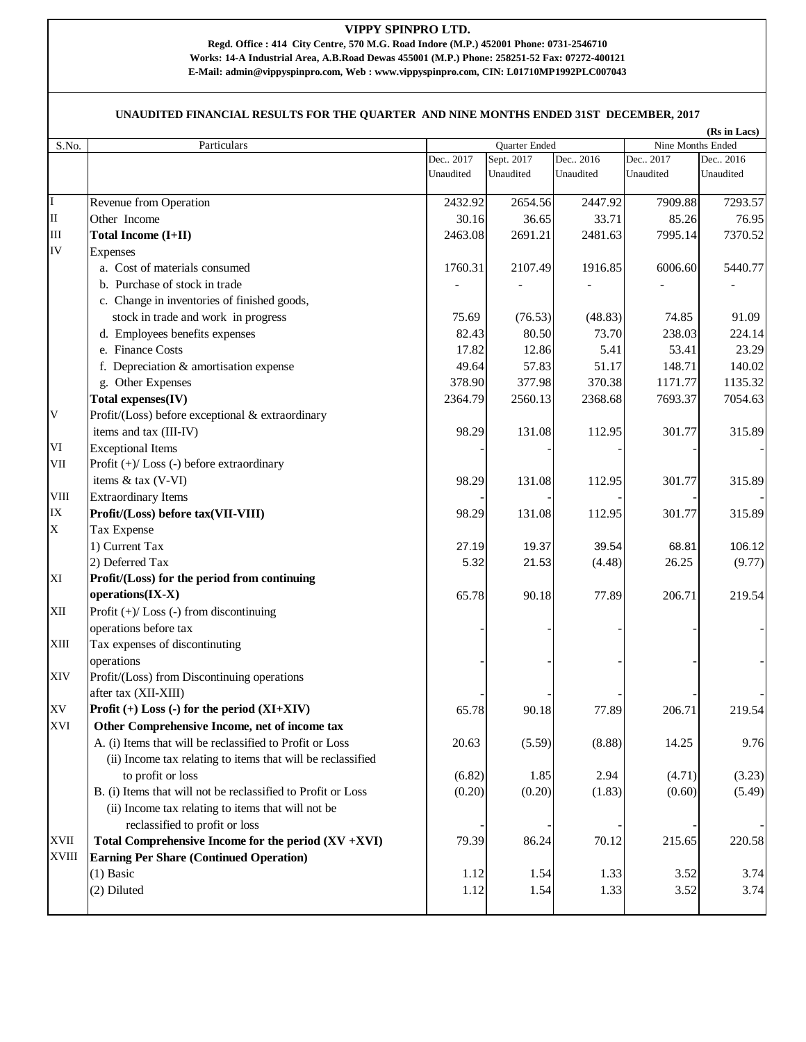## **VIPPY SPINPRO LTD.**

**E-Mail: admin@vippyspinpro.com, Web : www.vippyspinpro.com, CIN: L01710MP1992PLC007043 Regd. Office : 414 City Centre, 570 M.G. Road Indore (M.P.) 452001 Phone: 0731-2546710 Works: 14-A Industrial Area, A.B.Road Dewas 455001 (M.P.) Phone: 258251-52 Fax: 07272-400121**

## **UNAUDITED FINANCIAL RESULTS FOR THE QUARTER AND NINE MONTHS ENDED 31ST DECEMBER, 2017**

|              |                                                              |            |                                           |            |            | (Rs in Lacs) |
|--------------|--------------------------------------------------------------|------------|-------------------------------------------|------------|------------|--------------|
| S.No.        | Particulars                                                  |            | Nine Months Ended<br><b>Ouarter Ended</b> |            |            |              |
|              |                                                              | Dec., 2017 | Sept. 2017                                | Dec., 2016 | Dec., 2017 | Dec., 2016   |
|              |                                                              | Unaudited  | Unaudited                                 | Unaudited  | Unaudited  | Unaudited    |
|              |                                                              |            |                                           |            |            |              |
| $\mathbf I$  | Revenue from Operation                                       | 2432.92    | 2654.56                                   | 2447.92    | 7909.88    | 7293.57      |
| $\rm II$     | Other Income                                                 | 30.16      | 36.65                                     | 33.71      | 85.26      | 76.95        |
| $\rm III$    | <b>Total Income (I+II)</b>                                   | 2463.08    | 2691.21                                   | 2481.63    | 7995.14    | 7370.52      |
| IV           | Expenses                                                     |            |                                           |            |            |              |
|              | a. Cost of materials consumed                                | 1760.31    | 2107.49                                   | 1916.85    | 6006.60    | 5440.77      |
|              | b. Purchase of stock in trade                                |            |                                           |            |            |              |
|              | c. Change in inventories of finished goods,                  |            |                                           |            |            |              |
|              | stock in trade and work in progress                          | 75.69      | (76.53)                                   | (48.83)    | 74.85      | 91.09        |
|              | d. Employees benefits expenses                               | 82.43      | 80.50                                     | 73.70      | 238.03     | 224.14       |
|              | e. Finance Costs                                             | 17.82      | 12.86                                     | 5.41       | 53.41      | 23.29        |
|              | f. Depreciation & amortisation expense                       | 49.64      | 57.83                                     | 51.17      | 148.71     | 140.02       |
|              | g. Other Expenses                                            | 378.90     | 377.98                                    | 370.38     | 1171.77    | 1135.32      |
|              | Total expenses(IV)                                           | 2364.79    | 2560.13                                   | 2368.68    | 7693.37    | 7054.63      |
| V            | Profit/(Loss) before exceptional & extraordinary             |            |                                           |            |            |              |
|              | items and tax (III-IV)                                       | 98.29      | 131.08                                    | 112.95     | 301.77     | 315.89       |
| VI           | <b>Exceptional Items</b>                                     |            |                                           |            |            |              |
| VII          | Profit $(+)/$ Loss $(-)$ before extraordinary                |            |                                           |            |            |              |
|              | items & tax (V-VI)                                           | 98.29      | 131.08                                    | 112.95     | 301.77     | 315.89       |
| VШ           | <b>Extraordinary Items</b>                                   |            |                                           |            |            |              |
| IX           | Profit/(Loss) before tax(VII-VIII)                           | 98.29      | 131.08                                    | 112.95     | 301.77     | 315.89       |
| $\mathbf X$  | Tax Expense                                                  |            |                                           |            |            |              |
|              | 1) Current Tax                                               |            |                                           |            |            |              |
|              |                                                              | 27.19      | 19.37                                     | 39.54      | 68.81      | 106.12       |
|              | 2) Deferred Tax                                              | 5.32       | 21.53                                     | (4.48)     | 26.25      | (9.77)       |
| XI           | Profit/(Loss) for the period from continuing                 |            |                                           |            |            |              |
|              | operations(IX-X)                                             | 65.78      | 90.18                                     | 77.89      | 206.71     | 219.54       |
| XII          | Profit $(+)/$ Loss $(-)$ from discontinuing                  |            |                                           |            |            |              |
|              | operations before tax                                        |            |                                           |            |            |              |
| XIII         | Tax expenses of discontinuting                               |            |                                           |            |            |              |
|              | operations                                                   |            |                                           |            |            |              |
| XIV          | Profit/(Loss) from Discontinuing operations                  |            |                                           |            |            |              |
|              | after tax (XII-XIII)                                         |            |                                           |            |            |              |
| XV           | Profit $(+)$ Loss $(-)$ for the period $(XI+XIV)$            | 65.78      | 90.18                                     | 77.89      | 206.71     | 219.54       |
| XVI          | Other Comprehensive Income, net of income tax                |            |                                           |            |            |              |
|              | A. (i) Items that will be reclassified to Profit or Loss     | 20.63      | (5.59)                                    | (8.88)     | 14.25      | 9.76         |
|              | (ii) Income tax relating to items that will be reclassified  |            |                                           |            |            |              |
|              | to profit or loss                                            | (6.82)     | 1.85                                      | 2.94       | (4.71)     | (3.23)       |
|              | B. (i) Items that will not be reclassified to Profit or Loss | (0.20)     | (0.20)                                    | (1.83)     | (0.60)     | (5.49)       |
|              | (ii) Income tax relating to items that will not be           |            |                                           |            |            |              |
|              | reclassified to profit or loss                               |            |                                           |            |            |              |
| <b>XVII</b>  | Total Comprehensive Income for the period $(XV + XVI)$       | 79.39      | 86.24                                     | 70.12      | 215.65     | 220.58       |
| <b>XVIII</b> | <b>Earning Per Share (Continued Operation)</b>               |            |                                           |            |            |              |
|              | $(1)$ Basic                                                  | 1.12       | 1.54                                      | 1.33       | 3.52       | 3.74         |
|              | (2) Diluted                                                  | 1.12       | 1.54                                      | 1.33       | 3.52       | 3.74         |
|              |                                                              |            |                                           |            |            |              |
|              |                                                              |            |                                           |            |            |              |